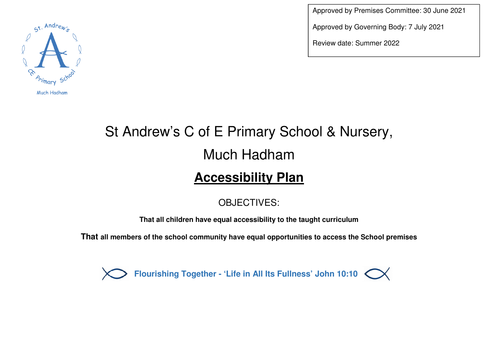

Approved by Premises Committee: 30 June 2021

Approved by Governing Body: 7 July 2021

Review date: Summer 2022

## St Andrew's C of E Primary School & Nursery, Much Hadham **Accessibility Plan**

## OBJECTIVES:

**That all children have equal accessibility to the taught curriculum** 

**That all members of the school community have equal opportunities to access the School premises** 

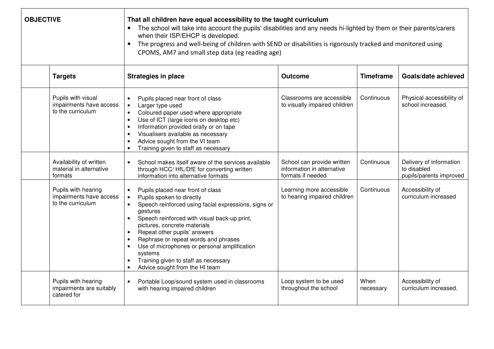| <b>OBJECTIVE</b> |                                                                     | That all children have equal accessibility to the taught curriculum<br>The school will take into account the pupils' disabilities and any needs hi-lighted by them or their parents/carers<br>$\bullet$<br>when their ISP/EHCP is developed.<br>The progress and well-being of children with SEND or disabilities is rigorously tracked and monitored using<br>$\bullet$<br>CPOMS, AM7 and small step data (eg reading age)                                                                                   |                                                                               |                   |                                                                   |  |
|------------------|---------------------------------------------------------------------|---------------------------------------------------------------------------------------------------------------------------------------------------------------------------------------------------------------------------------------------------------------------------------------------------------------------------------------------------------------------------------------------------------------------------------------------------------------------------------------------------------------|-------------------------------------------------------------------------------|-------------------|-------------------------------------------------------------------|--|
|                  | <b>Targets</b>                                                      | <b>Strategies in place</b>                                                                                                                                                                                                                                                                                                                                                                                                                                                                                    | <b>Outcome</b>                                                                | <b>Timeframe</b>  | Goals/date achieved                                               |  |
|                  | Pupils with visual<br>impairments have access<br>to the curriculum  | Pupils placed near front of class<br>$\bullet$<br>Larger type used<br>$\bullet$<br>Coloured paper used where appropriate<br>$\bullet$<br>Use of ICT (large icons on desktop etc)<br>$\bullet$<br>Information provided orally or on tape<br>$\bullet$<br>Visualisers available as necessary<br>$\bullet$<br>Advice sought from the VI team<br>$\bullet$<br>Training given to staff as necessary                                                                                                                | Classrooms are accessible<br>to visually impaired children                    | Continuous        | Physical accessibility of<br>school increased.                    |  |
|                  | Availability of written<br>material in alternative<br>formats       | School makes itself aware of the services available<br>$\bullet$<br>through HCC/ HfL/DfE for converting written<br>information into alternative formats                                                                                                                                                                                                                                                                                                                                                       | School can provide written<br>information in alternative<br>formats if needed | Continuous        | Delivery of information<br>to disabled<br>pupils/parents improved |  |
|                  | Pupils with hearing<br>impairments have access<br>to the curriculum | Pupils placed near front of class<br>$\bullet$<br>Pupils spoken to directly<br>$\bullet$<br>Speech reinforced using facial expressions, signs or<br>$\bullet$<br>gestures<br>Speech reinforced with visual back-up print,<br>$\bullet$<br>pictures, concrete materials<br>Repeat other pupils' answers<br>$\bullet$<br>Rephrase or repeat words and phrases<br>Use of microphones or personal amplification<br>$\bullet$<br>systems<br>Training given to staff as necessary<br>Advice sought from the HI team | Learning more accessible<br>to hearing impaired children                      | Continuous        | Accessibility of<br>curriculum increased                          |  |
|                  | Pupils with hearing<br>impairments are suitably<br>catered for      | $\bullet$<br>Portable Loop/sound system used in classrooms<br>with hearing impaired children                                                                                                                                                                                                                                                                                                                                                                                                                  | Loop system to be used<br>throughout the school                               | When<br>necessary | Accessibility of<br>curriculum increased.                         |  |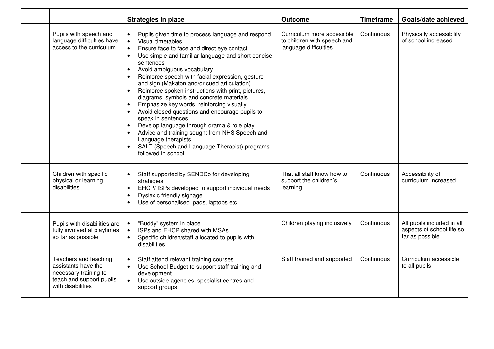|                                                                                                                        | <b>Strategies in place</b>                                                                                                                                                                                                                                                                                                                                                                                                                                                                                                                                                                                                                                                                                                                                                                                                                | <b>Outcome</b>                                                                     | <b>Timeframe</b> | Goals/date achieved                                                        |
|------------------------------------------------------------------------------------------------------------------------|-------------------------------------------------------------------------------------------------------------------------------------------------------------------------------------------------------------------------------------------------------------------------------------------------------------------------------------------------------------------------------------------------------------------------------------------------------------------------------------------------------------------------------------------------------------------------------------------------------------------------------------------------------------------------------------------------------------------------------------------------------------------------------------------------------------------------------------------|------------------------------------------------------------------------------------|------------------|----------------------------------------------------------------------------|
| Pupils with speech and<br>language difficulties have<br>access to the curriculum                                       | Pupils given time to process language and respond<br>Visual timetables<br>$\bullet$<br>Ensure face to face and direct eye contact<br>$\bullet$<br>Use simple and familiar language and short concise<br>$\bullet$<br>sentences<br>Avoid ambiguous vocabulary<br>Reinforce speech with facial expression, gesture<br>$\bullet$<br>and sign (Makaton and/or cued articulation)<br>Reinforce spoken instructions with print, pictures,<br>$\bullet$<br>diagrams, symbols and concrete materials<br>Emphasize key words, reinforcing visually<br>Avoid closed questions and encourage pupils to<br>speak in sentences<br>Develop language through drama & role play<br>$\bullet$<br>Advice and training sought from NHS Speech and<br>$\bullet$<br>Language therapists<br>SALT (Speech and Language Therapist) programs<br>followed in school | Curriculum more accessible<br>to children with speech and<br>language difficulties | Continuous       | Physically accessibility<br>of school increased.                           |
| Children with specific<br>physical or learning<br>disabilities                                                         | Staff supported by SENDCo for developing<br>$\bullet$<br>strategies<br>EHCP/ ISPs developed to support individual needs<br>$\bullet$<br>Dyslexic friendly signage<br>$\bullet$<br>Use of personalised ipads, laptops etc                                                                                                                                                                                                                                                                                                                                                                                                                                                                                                                                                                                                                  | That all staff know how to<br>support the children's<br>learning                   | Continuous       | Accessibility of<br>curriculum increased.                                  |
| Pupils with disabilities are<br>fully involved at playtimes<br>so far as possible                                      | "Buddy" system in place<br>$\bullet$<br>ISPs and EHCP shared with MSAs<br>$\bullet$<br>Specific children/staff allocated to pupils with<br>$\bullet$<br>disabilities                                                                                                                                                                                                                                                                                                                                                                                                                                                                                                                                                                                                                                                                      | Children playing inclusively                                                       | Continuous       | All pupils included in all<br>aspects of school life so<br>far as possible |
| Teachers and teaching<br>assistants have the<br>necessary training to<br>teach and support pupils<br>with disabilities | Staff attend relevant training courses<br>$\bullet$<br>Use School Budget to support staff training and<br>$\bullet$<br>development.<br>Use outside agencies, specialist centres and<br>$\bullet$<br>support groups                                                                                                                                                                                                                                                                                                                                                                                                                                                                                                                                                                                                                        | Staff trained and supported                                                        | Continuous       | Curriculum accessible<br>to all pupils                                     |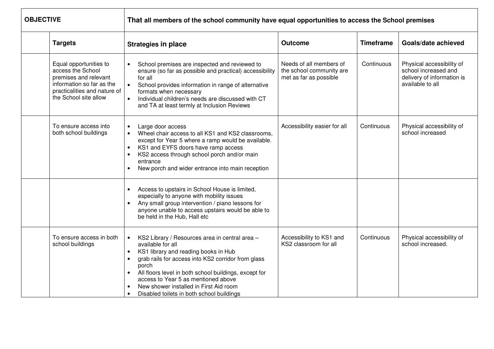| <b>OBJECTIVE</b> |                                                                                                                                                            | That all members of the school community have equal opportunities to access the School premises                                                                                                                                                                                                                                                                                             |                                                                               |                  |                                                                                                     |  |
|------------------|------------------------------------------------------------------------------------------------------------------------------------------------------------|---------------------------------------------------------------------------------------------------------------------------------------------------------------------------------------------------------------------------------------------------------------------------------------------------------------------------------------------------------------------------------------------|-------------------------------------------------------------------------------|------------------|-----------------------------------------------------------------------------------------------------|--|
|                  | <b>Targets</b>                                                                                                                                             | <b>Strategies in place</b>                                                                                                                                                                                                                                                                                                                                                                  | <b>Outcome</b>                                                                | <b>Timeframe</b> | Goals/date achieved                                                                                 |  |
|                  | Equal opportunities to<br>access the School<br>premises and relevant<br>information so far as the<br>practicalities and nature of<br>the School site allow | School premises are inspected and reviewed to<br>ensure (so far as possible and practical) accessibility<br>for all<br>$\bullet$<br>School provides information in range of alternative<br>formats when necessary<br>Individual children's needs are discussed with CT<br>$\bullet$<br>and TA at least termly at Inclusion Reviews                                                          | Needs of all members of<br>the school community are<br>met as far as possible | Continuous       | Physical accessibility of<br>school increased and<br>delivery of information is<br>available to all |  |
|                  | To ensure access into<br>both school buildings                                                                                                             | Large door access<br>$\bullet$<br>Wheel chair access to all KS1 and KS2 classrooms,<br>except for Year 5 where a ramp would be available.<br>KS1 and EYFS doors have ramp access<br>$\bullet$<br>KS2 access through school porch and/or main<br>$\bullet$<br>entrance<br>New porch and wider entrance into main reception<br>$\bullet$                                                      | Accessibility easier for all                                                  | Continuous       | Physical accessibility of<br>school increased                                                       |  |
|                  |                                                                                                                                                            | Access to upstairs in School House is limited,<br>$\bullet$<br>especially to anyone with mobility issues<br>Any small group intervention / piano lessons for<br>anyone unable to access upstairs would be able to<br>be held in the Hub, Hall etc                                                                                                                                           |                                                                               |                  |                                                                                                     |  |
|                  | To ensure access in both<br>school buildings                                                                                                               | KS2 Library / Resources area in central area -<br>available for all<br>KS1 library and reading books in Hub<br>grab rails for access into KS2 corridor from glass<br>$\bullet$<br>porch<br>All floors level in both school buildings, except for<br>access to Year 5 as mentioned above<br>New shower installed in First Aid room<br>Disabled toilets in both school buildings<br>$\bullet$ | Accessibility to KS1 and<br>KS2 classroom for all                             | Continuous       | Physical accessibility of<br>school increased.                                                      |  |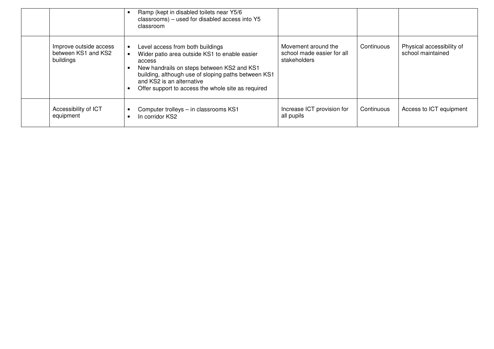|                                                            | Ramp (kept in disabled toilets near Y5/6<br>classrooms) – used for disabled access into Y5<br>classroom                                                                                                                                                                             |                                                                   |            |                                                |
|------------------------------------------------------------|-------------------------------------------------------------------------------------------------------------------------------------------------------------------------------------------------------------------------------------------------------------------------------------|-------------------------------------------------------------------|------------|------------------------------------------------|
| Improve outside access<br>between KS1 and KS2<br>buildings | Level access from both buildings<br>Wider patio area outside KS1 to enable easier<br>access<br>New handrails on steps between KS2 and KS1<br>building, although use of sloping paths between KS1<br>and KS2 is an alternative<br>Offer support to access the whole site as required | Movement around the<br>school made easier for all<br>stakeholders | Continuous | Physical accessibility of<br>school maintained |
| Accessibility of ICT<br>equipment                          | Computer trolleys - in classrooms KS1<br>In corridor KS2                                                                                                                                                                                                                            | Increase ICT provision for<br>all pupils                          | Continuous | Access to ICT equipment                        |